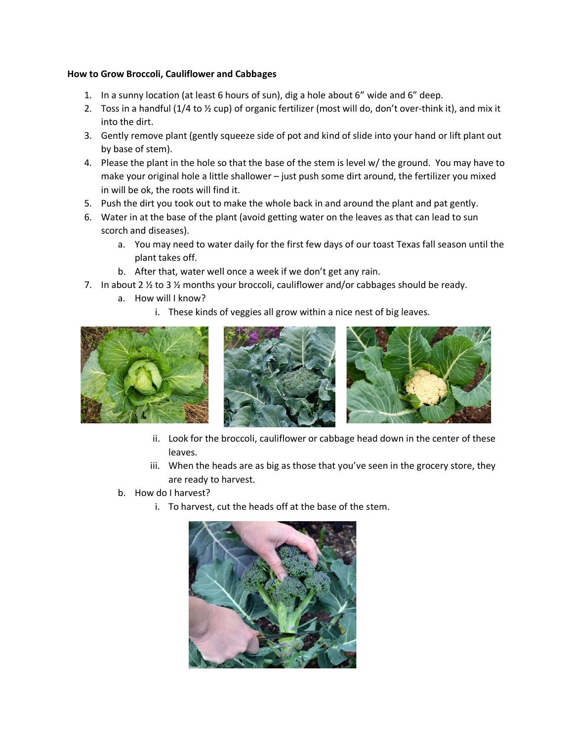## **How to Grow Broccoli, Cauliflower and Cabbages**

- 1. In a sunny location (at least 6 hours of sun), dig a hole about 6" wide and 6" deep.
- 2. Toss in a handful (1/4 to ½ cup) of organic fertilizer (most will do, don't over-think it), and mix it into the dirt.
- 3. Gently remove plant (gently squeeze side of pot and kind of slide into your hand or lift plant out by base of stem).
- 4. Please the plant in the hole so that the base of the stem is level w/ the ground. You may have to make your original hole a little shallower – just push some dirt around, the fertilizer you mixed in will be ok, the roots will find it.
- 5. Push the dirt you took out to make the whole back in and around the plant and pat gently.
- 6. Water in at the base of the plant (avoid getting water on the leaves as that can lead to sun scorch and diseases).
	- a. You may need to water daily for the first few days of our toast Texas fall season until the plant takes off.
	- b. After that, water well once a week if we don't get any rain.
- 7. In about 2  $\frac{1}{2}$  to 3  $\frac{1}{2}$  months your broccoli, cauliflower and/or cabbages should be ready.
	- a. How will I know?
		- i. These kinds of veggies all grow within a nice nest of big leaves.







- ii. Look for the broccoli, cauliflower or cabbage head down in the center of these leaves.
- iii. When the heads are as big as those that you've seen in the grocery store, they are ready to harvest.
- b. How do I harvest?
	- i. To harvest, cut the heads off at the base of the stem.